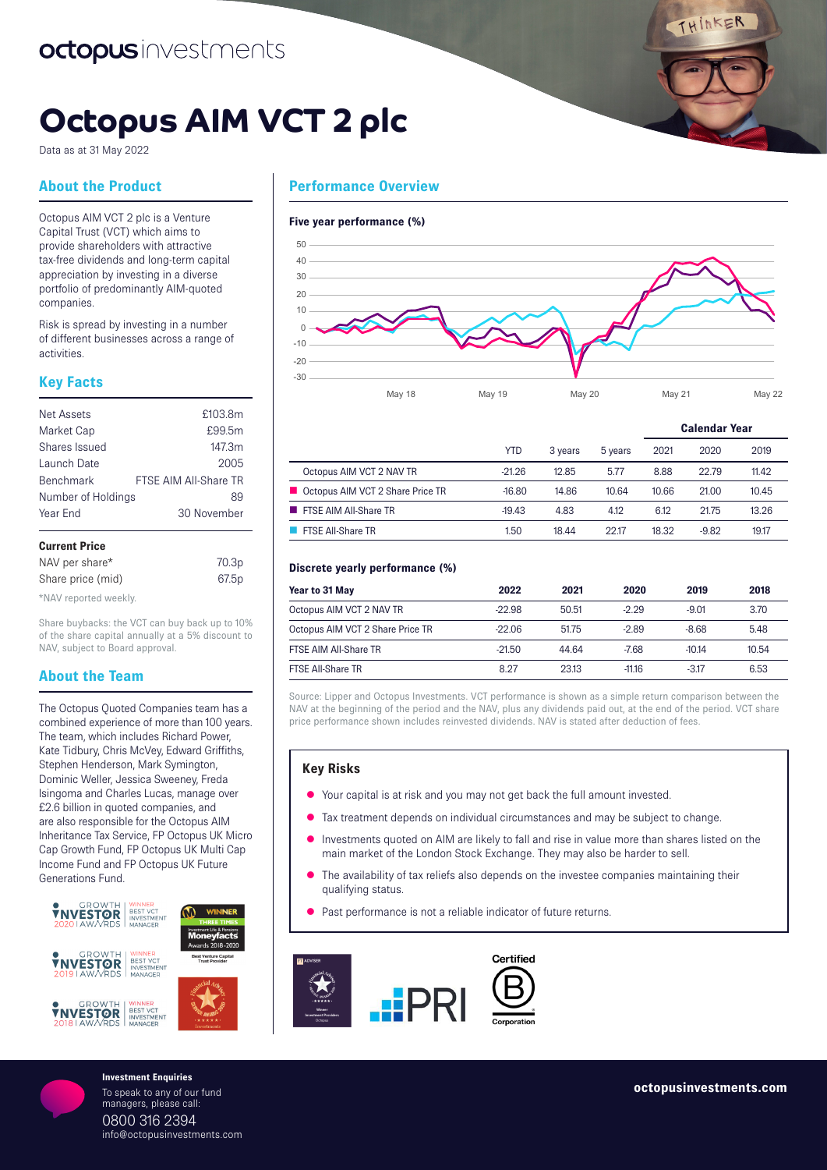# **Octopus AIM VCT 2 plc**

Data as at 31 May 2022

# **About the Product**

Octopus AIM VCT 2 plc is a Venture Capital Trust (VCT) which aims to provide shareholders with attractive tax-free dividends and long-term capital appreciation by investing in a diverse portfolio of predominantly AIM-quoted companies.

Risk is spread by investing in a number of different businesses across a range of activities.

# **Key Facts**

| Net Assets         | £103.8m               |
|--------------------|-----------------------|
| Market Cap         | £99.5m                |
| Shares Issued      | 147.3m                |
| Launch Date        | 2005                  |
| <b>Benchmark</b>   | FTSF AIM All-Share TR |
| Number of Holdings | 89                    |
| Year Fnd           | 30 November           |
|                    |                       |

### **Current Price** NAV per share\* 70.3p

| <b>IVAV DEI SHAIE</b> | 10.00 |
|-----------------------|-------|
| Share price (mid)     | 67.5p |
| *NAV reported weekly. |       |

Share buybacks: the VCT can buy back up to 10% of the share capital annually at a 5% discount to NAV, subject to Board approval.

# **About the Team**

The Octopus Quoted Companies team has a combined experience of more than 100 years. The team, which includes Richard Power, Kate Tidbury, Chris McVey, Edward Griffiths, Stephen Henderson, Mark Symington, Dominic Weller, Jessica Sweeney, Freda Isingoma and Charles Lucas, manage over £2.6 billion in quoted companies, and are also responsible for the Octopus AIM Inheritance Tax Service, FP Octopus UK Micro Cap Growth Fund, FP Octopus UK Multi Cap Income Fund and FP Octopus UK Future Generations Fund.



To speak to any of our fund managers, please call: 0800 316 2394 info@octopusinvestments.com



#### **Five year performance (%)**



|            |         |         | <b>Calendar Year</b> |         |       |
|------------|---------|---------|----------------------|---------|-------|
| <b>YTD</b> | 3 years | 5 years | 2021                 | 2020    | 2019  |
| $-21.26$   | 12.85   | 5.77    | 8.88                 | 22.79   | 11.42 |
| $-16.80$   | 14.86   | 10.64   | 10.66                | 21.00   | 10.45 |
| $-19.43$   | 4.83    | 4.12    | 6.12                 | 21.75   | 13.26 |
| 1.50       | 18.44   | 22.17   | 18.32                | $-9.82$ | 19.17 |
|            |         |         |                      |         |       |

#### **Discrete yearly performance (%)**

| Year to 31 May                   | 2022     | 2021  | 2020     | 2019    | 2018  |
|----------------------------------|----------|-------|----------|---------|-------|
| Octopus AIM VCT 2 NAV TR         | $-22.98$ | 50.51 | $-229$   | $-9.01$ | 3.70  |
| Octopus AIM VCT 2 Share Price TR | $-22.06$ | 51.75 | $-2.89$  | $-8.68$ | 5.48  |
| FTSE AIM All-Share TR            | $-21.50$ | 44 64 | $-7.68$  | $-1014$ | 10.54 |
| <b>FTSE All-Share TR</b>         | 8.27     | 23.13 | $-11.16$ | $-317$  | 6.53  |

Source: Lipper and Octopus Investments. VCT performance is shown as a simple return comparison between the NAV at the beginning of the period and the NAV, plus any dividends paid out, at the end of the period. VCT share price performance shown includes reinvested dividends. NAV is stated after deduction of fees.

# **Key Risks**

- $\bullet$  Your capital is at risk and you may not get back the full amount invested.
- Tax treatment depends on individual circumstances and may be subject to change.
- Investments quoted on AIM are likely to fall and rise in value more than shares listed on the main market of the London Stock Exchange. They may also be harder to sell.
- The availability of tax reliefs also depends on the investee companies maintaining their qualifying status.
- Past performance is not a reliable indicator of future returns.



THINKER